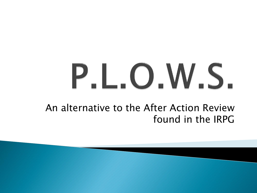# P.L.O.W.S.

An alternative to the After Action Review found in the IRPG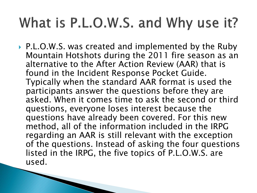## What is P.L.O.W.S. and Why use it?

▶ P.L.O.W.S. was created and implemented by the Ruby Mountain Hotshots during the 2011 fire season as an alternative to the After Action Review (AAR) that is found in the Incident Response Pocket Guide. Typically when the standard AAR format is used the participants answer the questions before they are asked. When it comes time to ask the second or third questions, everyone loses interest because the questions have already been covered. For this new method, all of the information included in the IRPG regarding an AAR is still relevant with the exception of the questions. Instead of asking the four questions listed in the IRPG, the five topics of P.L.O.W.S. are used.

**The Common Street, Inc.**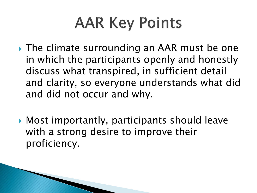# **AAR Key Points**

- ▶ The climate surrounding an AAR must be one in which the participants openly and honestly discuss what transpired, in sufficient detail and clarity, so everyone understands what did and did not occur and why.
- Most importantly, participants should leave with a strong desire to improve their proficiency.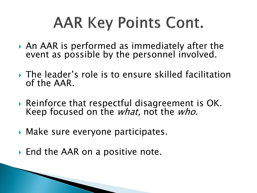## **AAR Key Points Cont.**

- An AAR is performed as immediately after the event as possible by the personnel involved.
- The leader's role is to ensure skilled facilitation of the AAR.
- Reinforce that respectful disagreement is OK. Keep focused on the *what*, not the *who*.
- ▶ Make sure everyone participates.
- ▶ End the AAR on a positive note.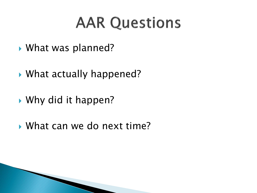## **AAR Questions**

- ▶ What was planned?
- ▶ What actually happened?
- ▶ Why did it happen?
- What can we do next time?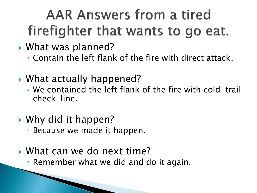#### **AAR Answers from a tired** firefighter that wants to go eat.

- ▶ What was planned?
	- Contain the left flank of the fire with direct attack.
- What actually happened?
	- We contained the left flank of the fire with cold-trail check-line.
- ▶ Why did it happen?
	- Because we made it happen.
- What can we do next time?
	- Remember what we did and do it again.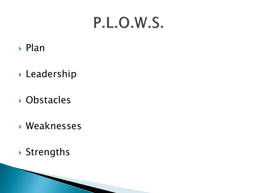## P.L.O.W.S.

- Plan
- **Leadership**
- Obstacles
- Weaknesses
- ▶ Strengths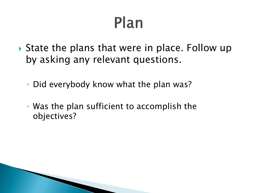# Plan

- ▶ State the plans that were in place. Follow up by asking any relevant questions.
	- Did everybody know what the plan was?
	- Was the plan sufficient to accomplish the objectives?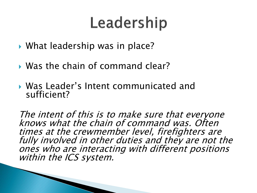## Leadership

- ▶ What leadership was in place?
- Was the chain of command clear?
- Was Leader's Intent communicated and sufficient?

The intent of this is to make sure that everyone knows what the chain of command was. Often times at the crewmember level, firefighters are fully involved in other duties and they are not the ones who are interacting with different positions within the ICS system.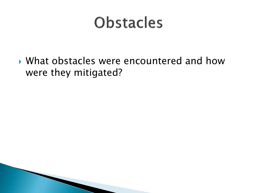## **Obstacles**

 What obstacles were encountered and how were they mitigated?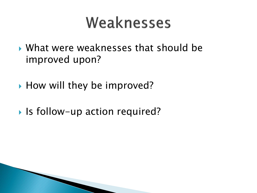#### Weaknesses

- What were weaknesses that should be improved upon?
- ▶ How will they be improved?
- ▶ Is follow-up action required?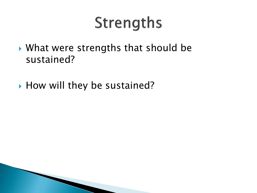## **Strengths**

- What were strengths that should be sustained?
- ▶ How will they be sustained?